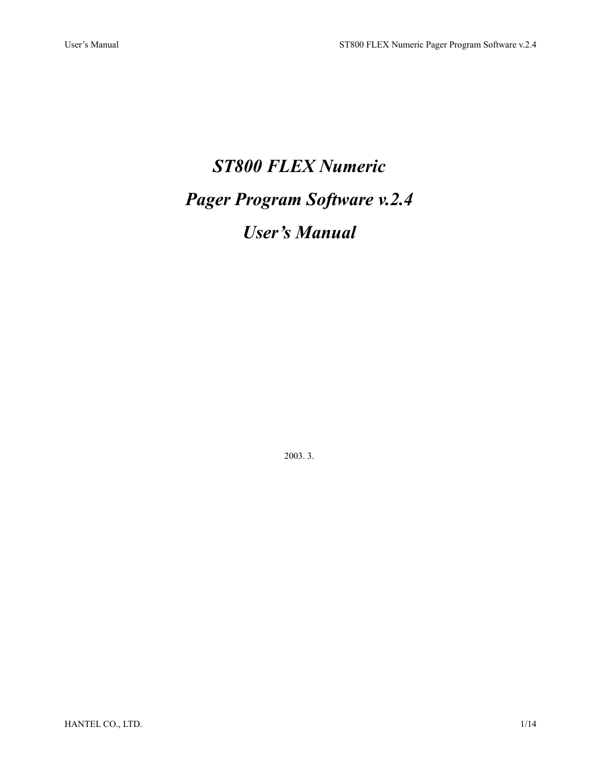# *ST800 FLEX Numeric Pager Program Software v.2.4 User's Manual*

2003. 3.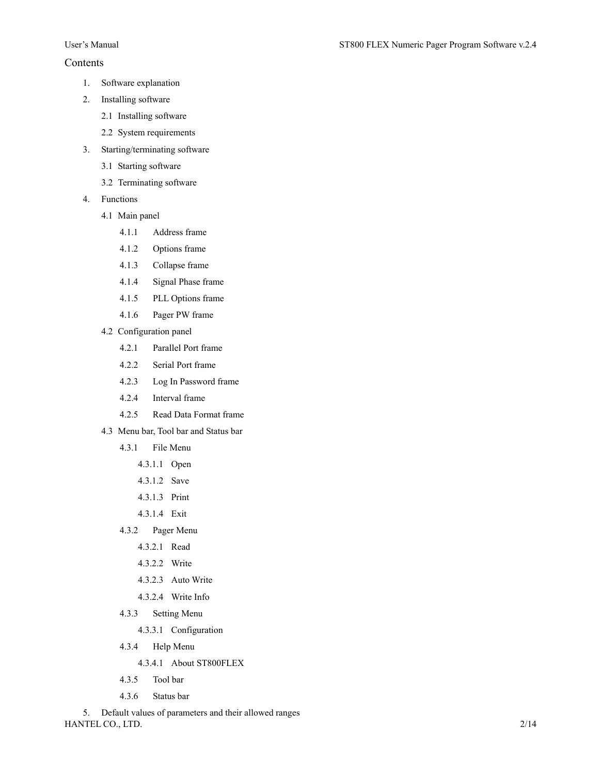# Contents

- 1. Software explanation
- 2. Installing software
	- 2.1 Installing software
	- 2.2 System requirements
- 3. Starting/terminating software
	- 3.1 Starting software
	- 3.2 Terminating software
- 4. Functions
	- 4.1 Main panel
		- 4.1.1 Address frame
		- 4.1.2 Options frame
		- 4.1.3 Collapse frame
		- 4.1.4 Signal Phase frame
		- 4.1.5 PLL Options frame
		- 4.1.6 Pager PW frame
	- 4.2 Configuration panel
		- 4.2.1 Parallel Port frame
		- 4.2.2 Serial Port frame
		- 4.2.3 Log In Password frame
		- 4.2.4 Interval frame
		- 4.2.5 Read Data Format frame
	- 4.3 Menu bar, Tool bar and Status bar
		- 4.3.1 File Menu
			- 4.3.1.1 Open
			- 4.3.1.2 Save
			- 4.3.1.3 Print
			- 4.3.1.4 Exit
		- 4.3.2 Pager Menu
			- 4.3.2.1 Read
			- 4.3.2.2 Write
			- 4.3.2.3 Auto Write
			- 4.3.2.4 Write Info
		- 4.3.3 Setting Menu
			- 4.3.3.1 Configuration
		- 4.3.4 Help Menu
			- 4.3.4.1 About ST800FLEX
		- 4.3.5 Tool bar
		- 4.3.6 Status bar

HANTEL CO., LTD. 2/14 5. Default values of parameters and their allowed ranges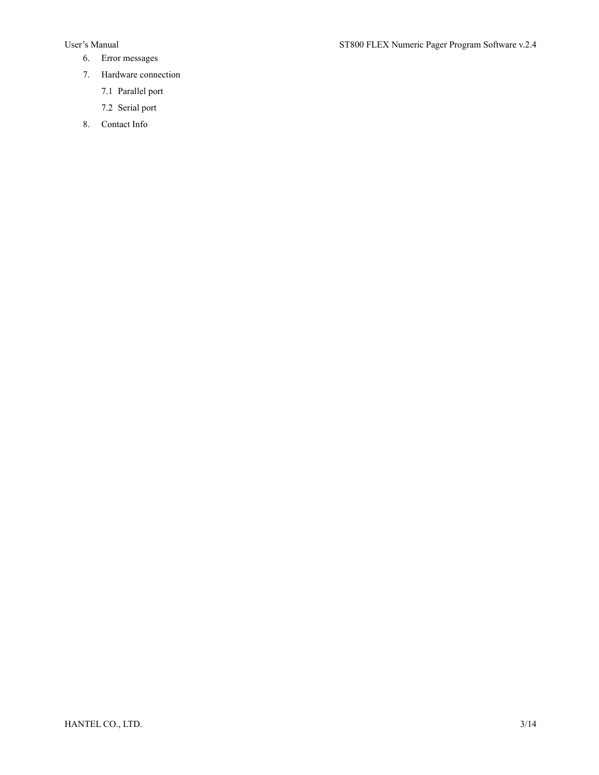- 6. Error messages
- 7. Hardware connection
	- 7.1 Parallel port
	- 7.2 Serial port
- 8. Contact Info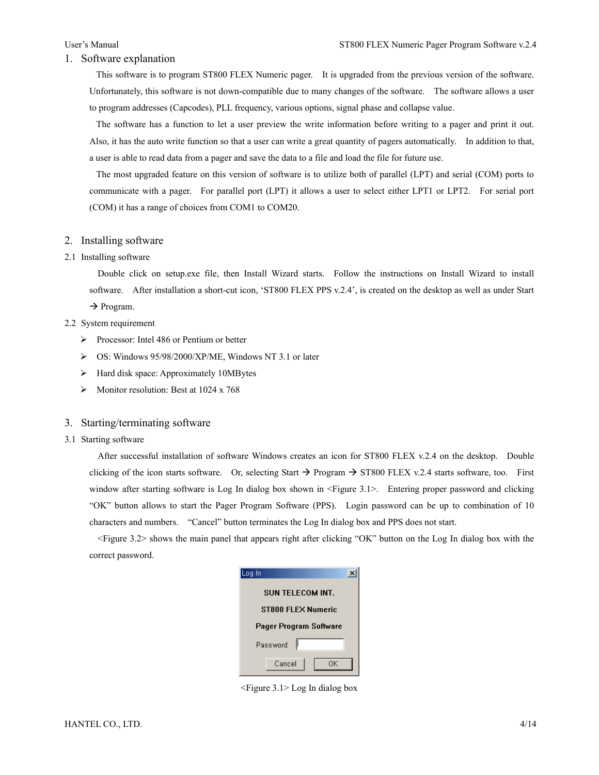#### 1. Software explanation

This software is to program ST800 FLEX Numeric pager. It is upgraded from the previous version of the software. Unfortunately, this software is not down-compatible due to many changes of the software. The software allows a user to program addresses (Capcodes), PLL frequency, various options, signal phase and collapse value.

The software has a function to let a user preview the write information before writing to a pager and print it out. Also, it has the auto write function so that a user can write a great quantity of pagers automatically. In addition to that, a user is able to read data from a pager and save the data to a file and load the file for future use.

The most upgraded feature on this version of software is to utilize both of parallel (LPT) and serial (COM) ports to communicate with a pager. For parallel port (LPT) it allows a user to select either LPT1 or LPT2. For serial port (COM) it has a range of choices from COM1 to COM20.

# 2. Installing software

#### 2.1 Installing software

Double click on setup.exe file, then Install Wizard starts. Follow the instructions on Install Wizard to install software. After installation a short-cut icon, 'ST800 FLEX PPS v.2.4', is created on the desktop as well as under Start

 $\rightarrow$  Program.

# 2.2 System requirement

- ¾ Processor: Intel 486 or Pentium or better
- ¾ OS: Windows 95/98/2000/XP/ME, Windows NT 3.1 or later
- $\blacktriangleright$  Hard disk space: Approximately 10MBytes
- $\triangleright$  Monitor resolution: Best at 1024 x 768

#### 3. Starting/terminating software

3.1 Starting software

After successful installation of software Windows creates an icon for ST800 FLEX v.2.4 on the desktop. Double clicking of the icon starts software. Or, selecting Start  $\rightarrow$  Program  $\rightarrow$  ST800 FLEX v.2.4 starts software, too. First window after starting software is Log In dialog box shown in <Figure 3.1>. Entering proper password and clicking "OK" button allows to start the Pager Program Software (PPS). Login password can be up to combination of 10 characters and numbers. "Cancel" button terminates the Log In dialog box and PPS does not start.

<Figure 3.2> shows the main panel that appears right after clicking "OK" button on the Log In dialog box with the correct password.

| Log In                  |
|-------------------------|
| <b>SUN TELECOM INT.</b> |
| ST800 FLEX Numeric      |
| Pager Program Software  |
| Password                |
| Cancel<br>OΚ            |

<Figure 3.1> Log In dialog box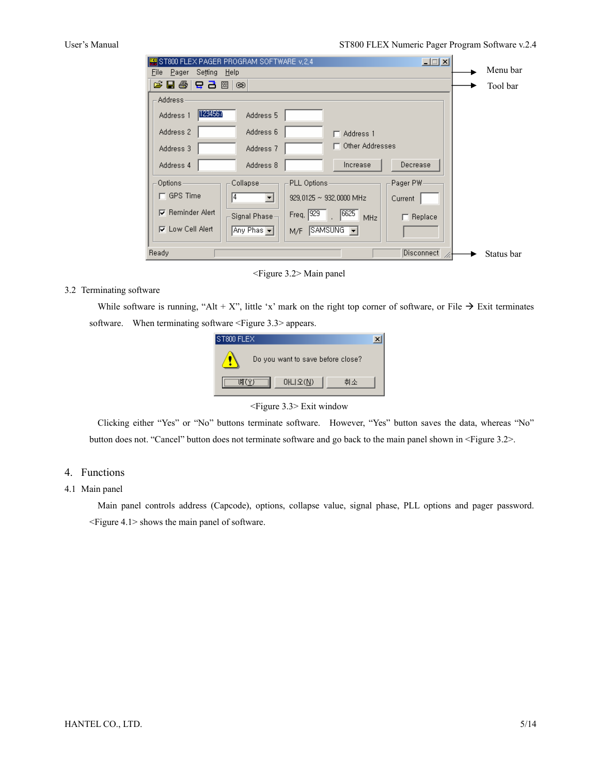| $\Box$<br>ST800 FLEX PAGER PROGRAM SOFTWARE v.2.4                                             |            |
|-----------------------------------------------------------------------------------------------|------------|
| Setting<br>Pager<br>Help<br>File                                                              | Menu bar   |
| G 팀 종   국 급 2  <br>$\circledcirc$                                                             | Tool bar   |
| Address-                                                                                      |            |
| 1234567<br>Address 5<br>Address 1                                                             |            |
| Address 6<br>Address 2<br>$\Box$ Address 1                                                    |            |
| □ Other Addresses<br>Address 3<br>Address <sub>7</sub>                                        |            |
| Increase<br>Decrease<br>Address 8<br>Address 4                                                |            |
| PLL Options<br>Options<br>Collapse-<br>Pager PW-                                              |            |
| $\sqcap$ GPS Time<br>14.<br>$\blacktriangledown$<br>929, 0125 $\sim$ 932, 0000 MHz<br>Current |            |
| $\nabla$ Reminder Alert<br>6625<br>Freq. 929<br>Signal Phase-<br>Replace<br>MHz<br>┍          |            |
| <b>⊽</b> Low Cell Alert<br>Any Phas v<br>$SAMSUNG$ $\rightarrow$<br>M/F                       |            |
| Ready<br>Disconnect                                                                           | Status bar |

<Figure 3.2> Main panel

# 3.2 Terminating software

While software is running, "Alt + X", little 'x' mark on the right top corner of software, or File  $\rightarrow$  Exit terminates software. When terminating software <Figure 3.3> appears.



<Figure 3.3> Exit window

Clicking either "Yes" or "No" buttons terminate software. However, "Yes" button saves the data, whereas "No" button does not. "Cancel" button does not terminate software and go back to the main panel shown in <Figure 3.2>.

# 4. Functions

# 4.1 Main panel

Main panel controls address (Capcode), options, collapse value, signal phase, PLL options and pager password. <Figure 4.1> shows the main panel of software.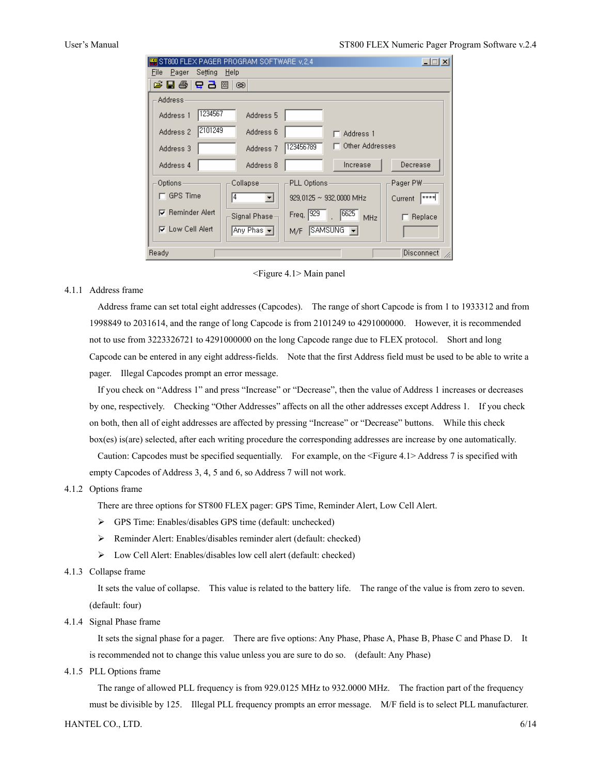#### User's Manual ST800 FLEX Numeric Pager Program Software v.2.4

|                            | ST800 FLEX PAGER PROGRAM SOFTWARE v, 2, 4 |             |                                      | $\Box$               |
|----------------------------|-------------------------------------------|-------------|--------------------------------------|----------------------|
| Setting<br>File<br>- Pager | Help                                      |             |                                      |                      |
| G E 종 <del>다</del> 구 函     | ශ                                         |             |                                      |                      |
| <b>Address</b>             |                                           |             |                                      |                      |
| 1234567<br>Address 1       | Address 5                                 |             |                                      |                      |
| 2101249<br>Address 2       | Address 6                                 |             | Address 1                            |                      |
| Address 3                  | Address <sub>7</sub>                      | 123456789   | Other Addresses                      |                      |
| Address 4                  | Address 8                                 |             | Increase                             | Decrease             |
| Options                    | Collapse                                  | PLL Options |                                      | Pager PW:            |
| $\sqcap$ GPS Time          | 14<br>$\blacktriangledown$                |             | $929.0125 \sim 932.0000 \text{ MHz}$ | $+ + + +$<br>Current |
| <b>▽</b> Reminder Alert    | Signal Phase-                             | Freq. 929   | 6625<br>MHz                          | Replace              |
| <b>⊽</b> Low Cell Alert    | Any Phas <del>V</del>                     | M/F         | $SAMSUNG$ $\rightarrow$              |                      |
| Ready                      |                                           |             |                                      | <b>Disconnect</b>    |

<Figure 4.1> Main panel

# 4.1.1 Address frame

Address frame can set total eight addresses (Capcodes). The range of short Capcode is from 1 to 1933312 and from 1998849 to 2031614, and the range of long Capcode is from 2101249 to 4291000000. However, it is recommended not to use from 3223326721 to 4291000000 on the long Capcode range due to FLEX protocol. Short and long Capcode can be entered in any eight address-fields. Note that the first Address field must be used to be able to write a pager. Illegal Capcodes prompt an error message.

If you check on "Address 1" and press "Increase" or "Decrease", then the value of Address 1 increases or decreases by one, respectively. Checking "Other Addresses" affects on all the other addresses except Address 1. If you check on both, then all of eight addresses are affected by pressing "Increase" or "Decrease" buttons. While this check box(es) is(are) selected, after each writing procedure the corresponding addresses are increase by one automatically. Caution: Capcodes must be specified sequentially. For example, on the <Figure 4.1> Address 7 is specified with empty Capcodes of Address 3, 4, 5 and 6, so Address 7 will not work.

### 4.1.2 Options frame

There are three options for ST800 FLEX pager: GPS Time, Reminder Alert, Low Cell Alert.

- ¾ GPS Time: Enables/disables GPS time (default: unchecked)
- ¾ Reminder Alert: Enables/disables reminder alert (default: checked)
- ¾ Low Cell Alert: Enables/disables low cell alert (default: checked)

#### 4.1.3 Collapse frame

It sets the value of collapse. This value is related to the battery life. The range of the value is from zero to seven. (default: four)

#### 4.1.4 Signal Phase frame

It sets the signal phase for a pager. There are five options: Any Phase, Phase A, Phase B, Phase C and Phase D. It is recommended not to change this value unless you are sure to do so. (default: Any Phase)

4.1.5 PLL Options frame

The range of allowed PLL frequency is from 929.0125 MHz to 932.0000 MHz. The fraction part of the frequency must be divisible by 125. Illegal PLL frequency prompts an error message. M/F field is to select PLL manufacturer.

HANTEL CO., LTD. 6/14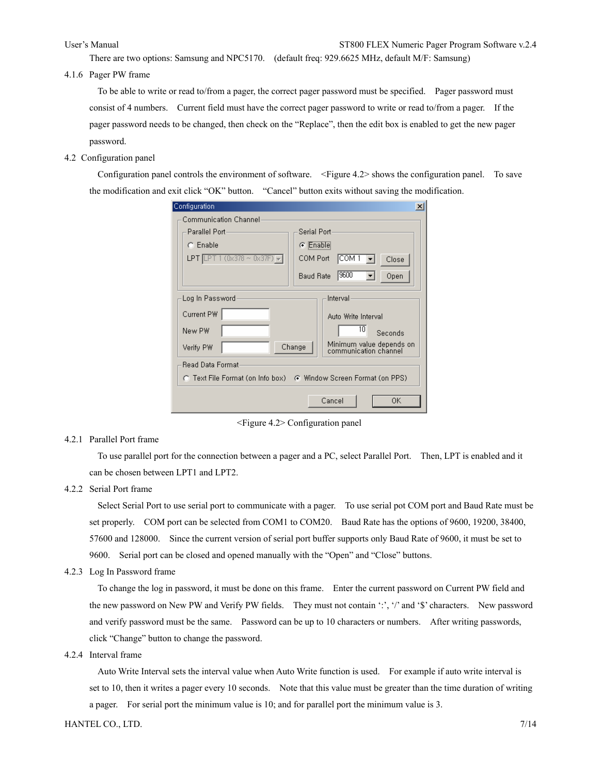There are two options: Samsung and NPC5170. (default freq: 929.6625 MHz, default M/F: Samsung)

4.1.6 Pager PW frame

To be able to write or read to/from a pager, the correct pager password must be specified. Pager password must consist of 4 numbers. Current field must have the correct pager password to write or read to/from a pager. If the pager password needs to be changed, then check on the "Replace", then the edit box is enabled to get the new pager password.

4.2 Configuration panel

Configuration panel controls the environment of software. <Figure 4.2> shows the configuration panel. To save the modification and exit click "OK" button. "Cancel" button exits without saving the modification.

| Configuration                                                    | $\boldsymbol{\mathsf{x}}$                                   |  |
|------------------------------------------------------------------|-------------------------------------------------------------|--|
| Communication Channel:                                           |                                                             |  |
| Parallel Port-                                                   | Serial Port-                                                |  |
| C Enable                                                         | C Enable                                                    |  |
| T 1 (0x378 ~ 0x37F) <del>↓</del>  <br>LPT <b>ILP</b>             | COM Port<br>ICOM 1<br>Close                                 |  |
|                                                                  | 19600<br>Open<br><b>Baud Rate</b>                           |  |
| Log In Password                                                  | Interval                                                    |  |
| Current PW                                                       | Auto Write Interval                                         |  |
| New PW                                                           | 10<br>Seconds                                               |  |
| Verify PW                                                        | Minimum value depends on<br>Change<br>communication channel |  |
| Read Data Format-                                                |                                                             |  |
| C Text File Format (on Info box) C Window Screen Format (on PPS) |                                                             |  |
| Cancel<br>ΟK                                                     |                                                             |  |

<Figure 4.2> Configuration panel

4.2.1 Parallel Port frame

To use parallel port for the connection between a pager and a PC, select Parallel Port. Then, LPT is enabled and it can be chosen between LPT1 and LPT2.

4.2.2 Serial Port frame

Select Serial Port to use serial port to communicate with a pager. To use serial pot COM port and Baud Rate must be set properly. COM port can be selected from COM1 to COM20. Baud Rate has the options of 9600, 19200, 38400, 57600 and 128000. Since the current version of serial port buffer supports only Baud Rate of 9600, it must be set to 9600. Serial port can be closed and opened manually with the "Open" and "Close" buttons.

4.2.3 Log In Password frame

To change the log in password, it must be done on this frame. Enter the current password on Current PW field and the new password on New PW and Verify PW fields. They must not contain ':', '/' and '\$' characters. New password and verify password must be the same. Password can be up to 10 characters or numbers. After writing passwords, click "Change" button to change the password.

4.2.4 Interval frame

Auto Write Interval sets the interval value when Auto Write function is used. For example if auto write interval is set to 10, then it writes a pager every 10 seconds. Note that this value must be greater than the time duration of writing a pager. For serial port the minimum value is 10; and for parallel port the minimum value is 3.

#### HANTEL CO., LTD.  $7/14$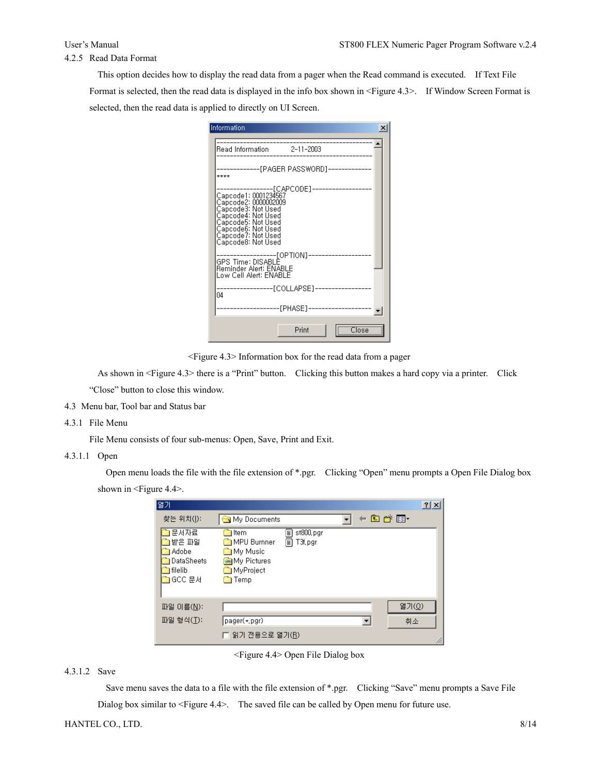# 4.2.5 Read Data Format

This option decides how to display the read data from a pager when the Read command is executed. If Text File Format is selected, then the read data is displayed in the info box shown in <Figure 4.3>. If Window Screen Format is selected, then the read data is applied to directly on UI Screen.

| Information                                                                                               | × |
|-----------------------------------------------------------------------------------------------------------|---|
| Read Information 2-11-2003                                                                                |   |
| -----------[PAGER PASSWORD]----------<br>****                                                             |   |
|                                                                                                           |   |
| -------------------[OPTION]-----<br>GPS Time: DISABLE<br>Reminder Alert: ENABLE<br>Low Cell Alert: ENABLE |   |
| ------------[COLLAPSE]----------------<br>04                                                              |   |
| -----------------[PHASE]---------------                                                                   |   |
| $\overline{\text{Close}}$<br>Print                                                                        |   |

<Figure 4.3> Information box for the read data from a pager

As shown in <Figure 4.3> there is a "Print" button. Clicking this button makes a hard copy via a printer. Click "Close" button to close this window.

- 4.3 Menu bar, Tool bar and Status bar
- 4.3.1 File Menu

File Menu consists of four sub-menus: Open, Save, Print and Exit.

4.3.1.1 Open

Open menu loads the file with the file extension of \*.pgr. Clicking "Open" menu prompts a Open File Dialog box shown in <Figure 4.4>.

| 열가                                                          |                                                                                                                                           |       | 2x    |
|-------------------------------------------------------------|-------------------------------------------------------------------------------------------------------------------------------------------|-------|-------|
| 찾는 위치(J):                                                   | My Documents                                                                                                                              | ←面感丽・ |       |
| 문서자료<br>받은 파일<br>Adobe<br>DataSheets<br>l filelib<br>GCC 문서 | T<br><b>in</b> Item<br>st800,pgr<br>Ā<br><b>MPU</b> Burnner<br>T3f, pgr<br>My Music<br><b>My Pictures</b><br>MyProject<br><u>िलो</u> Temp |       |       |
| 파일 이름(N):                                                   |                                                                                                                                           |       | 열기(0) |
| 파일 형식(I):                                                   | pager(*,pgr)                                                                                                                              |       | 취소    |
|                                                             | 읽기 전용으로 열기(R)                                                                                                                             |       |       |

<Figure 4.4> Open File Dialog box

## 4.3.1.2 Save

Save menu saves the data to a file with the file extension of \*.pgr. Clicking "Save" menu prompts a Save File Dialog box similar to <Figure 4.4>. The saved file can be called by Open menu for future use.

# HANTEL CO., LTD. 8/14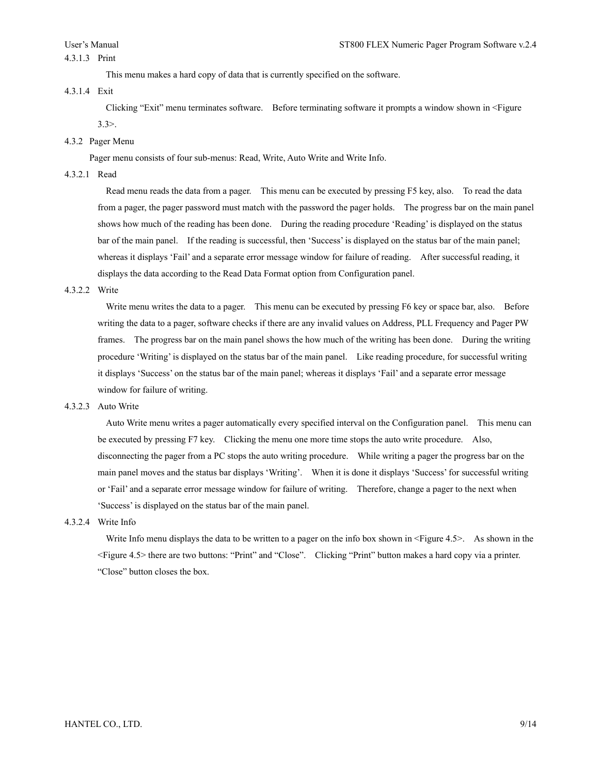This menu makes a hard copy of data that is currently specified on the software.

### 4.3.1.4 Exit

Clicking "Exit" menu terminates software. Before terminating software it prompts a window shown in <Figure 3.3>.

# 4.3.2 Pager Menu

Pager menu consists of four sub-menus: Read, Write, Auto Write and Write Info.

#### 4.3.2.1 Read

Read menu reads the data from a pager. This menu can be executed by pressing F5 key, also. To read the data from a pager, the pager password must match with the password the pager holds. The progress bar on the main panel shows how much of the reading has been done. During the reading procedure 'Reading' is displayed on the status bar of the main panel. If the reading is successful, then 'Success' is displayed on the status bar of the main panel; whereas it displays 'Fail' and a separate error message window for failure of reading. After successful reading, it displays the data according to the Read Data Format option from Configuration panel.

# 4.3.2.2 Write

Write menu writes the data to a pager. This menu can be executed by pressing F6 key or space bar, also. Before writing the data to a pager, software checks if there are any invalid values on Address, PLL Frequency and Pager PW frames. The progress bar on the main panel shows the how much of the writing has been done. During the writing procedure 'Writing' is displayed on the status bar of the main panel. Like reading procedure, for successful writing it displays 'Success' on the status bar of the main panel; whereas it displays 'Fail' and a separate error message window for failure of writing.

#### 4.3.2.3 Auto Write

Auto Write menu writes a pager automatically every specified interval on the Configuration panel. This menu can be executed by pressing F7 key. Clicking the menu one more time stops the auto write procedure. Also, disconnecting the pager from a PC stops the auto writing procedure. While writing a pager the progress bar on the main panel moves and the status bar displays 'Writing'. When it is done it displays 'Success' for successful writing or 'Fail' and a separate error message window for failure of writing. Therefore, change a pager to the next when 'Success' is displayed on the status bar of the main panel.

# 4.3.2.4 Write Info

Write Info menu displays the data to be written to a pager on the info box shown in  $\leq$  Figure 4.5>. As shown in the <Figure 4.5> there are two buttons: "Print" and "Close". Clicking "Print" button makes a hard copy via a printer. "Close" button closes the box.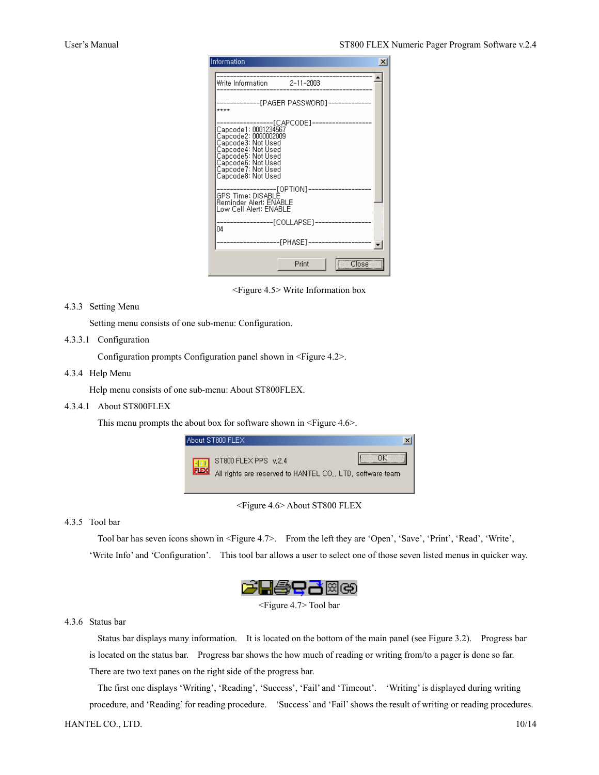| Information<br>$\times$                                                                                           |
|-------------------------------------------------------------------------------------------------------------------|
| Write Information 2-11-2003                                                                                       |
| -----[PAGER PASSWORD]---------<br>$***$                                                                           |
| ----------------[CAPCODE]----------------                                                                         |
| -------------------[OPTION]-----<br>GPS Time: DISABLE<br>Reminder Alert: <u>ENABL</u> E<br>Low Cell Alert: ENABLE |
| -----------------[COLLAPSE]-----------------<br>04                                                                |
| -----------------[PHASE]----------------                                                                          |
| Close <sup>T</sup><br>Print                                                                                       |

<Figure 4.5> Write Information box

### 4.3.3 Setting Menu

Setting menu consists of one sub-menu: Configuration.

# 4.3.3.1 Configuration

Configuration prompts Configuration panel shown in <Figure 4.2>.

#### 4.3.4 Help Menu

Help menu consists of one sub-menu: About ST800FLEX.

# 4.3.4.1 About ST800FLEX

This menu prompts the about box for software shown in <Figure 4.6>.



<Figure 4.6> About ST800 FLEX

# 4.3.5 Tool bar

Tool bar has seven icons shown in <Figure 4.7>. From the left they are 'Open', 'Save', 'Print', 'Read', 'Write', 'Write Info' and 'Configuration'. This tool bar allows a user to select one of those seven listed menus in quicker way.



<Figure 4.7> Tool bar

# 4.3.6 Status bar

Status bar displays many information. It is located on the bottom of the main panel (see Figure 3.2). Progress bar is located on the status bar. Progress bar shows the how much of reading or writing from/to a pager is done so far. There are two text panes on the right side of the progress bar.

The first one displays 'Writing', 'Reading', 'Success', 'Fail' and 'Timeout'. 'Writing' is displayed during writing procedure, and 'Reading' for reading procedure. 'Success' and 'Fail' shows the result of writing or reading procedures.

# HANTEL CO., LTD. 10/14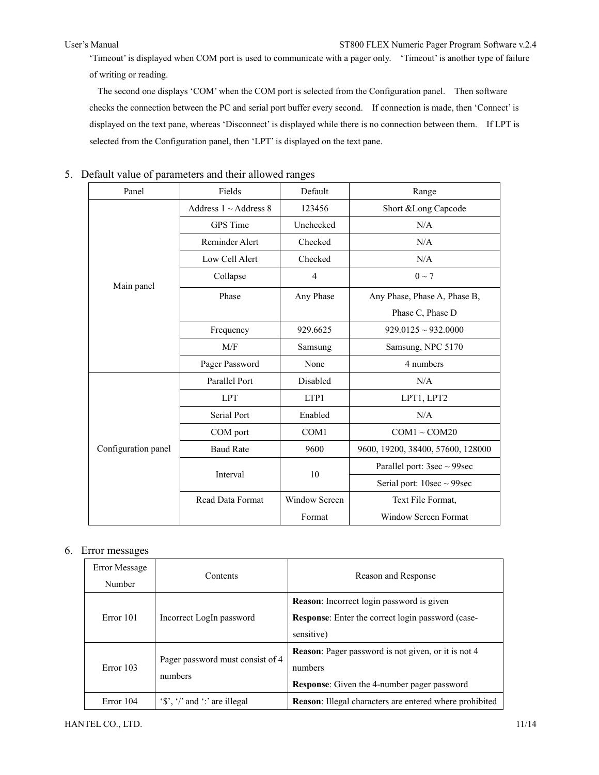# User's Manual ST800 FLEX Numeric Pager Program Software v.2.4

'Timeout' is displayed when COM port is used to communicate with a pager only. 'Timeout' is another type of failure of writing or reading.

The second one displays 'COM' when the COM port is selected from the Configuration panel. Then software checks the connection between the PC and serial port buffer every second. If connection is made, then 'Connect' is displayed on the text pane, whereas 'Disconnect' is displayed while there is no connection between them. If LPT is selected from the Configuration panel, then 'LPT' is displayed on the text pane.

| Panel               | Fields                     | Default          | Range                             |
|---------------------|----------------------------|------------------|-----------------------------------|
|                     | Address $1 \sim$ Address 8 | 123456           | Short & Long Capcode              |
|                     | GPS Time                   | Unchecked        | N/A                               |
|                     | Reminder Alert             | Checked          | N/A                               |
|                     | Low Cell Alert             | Checked          | N/A                               |
| Main panel          | Collapse                   | $\overline{4}$   | $0 \sim 7$                        |
|                     | Phase                      | Any Phase        | Any Phase, Phase A, Phase B,      |
|                     |                            |                  | Phase C, Phase D                  |
|                     | Frequency                  | 929.6625         | $929.0125 \sim 932.0000$          |
|                     | M/F                        | Samsung          | Samsung, NPC 5170                 |
|                     | Pager Password             | None             | 4 numbers                         |
|                     | Parallel Port              | Disabled         | N/A                               |
|                     | <b>LPT</b>                 | LTP1             | LPT1, LPT2                        |
|                     | Serial Port                | Enabled          | N/A                               |
|                     | COM port                   | COM <sub>1</sub> | $COM1 \sim COM20$                 |
| Configuration panel | <b>Baud Rate</b>           | 9600             | 9600, 19200, 38400, 57600, 128000 |
|                     | Interval                   | 10               | Parallel port: $3sec \sim 99sec$  |
|                     |                            |                  | Serial port: $10sec \sim 99sec$   |
|                     | Read Data Format           | Window Screen    | Text File Format,                 |
|                     |                            | Format           | Window Screen Format              |

# 5. Default value of parameters and their allowed ranges

# 6. Error messages

| Error Message<br>Number | Contents                                                                                                  | Reason and Response                                                                                                         |
|-------------------------|-----------------------------------------------------------------------------------------------------------|-----------------------------------------------------------------------------------------------------------------------------|
| Error 101               | Incorrect LogIn password                                                                                  | <b>Reason:</b> Incorrect login password is given<br><b>Response:</b> Enter the correct login password (case-<br>sensitive)  |
| Error 103               | Pager password must consist of 4<br>numbers                                                               | <b>Reason:</b> Pager password is not given, or it is not 4<br>numbers<br><b>Response:</b> Given the 4-number pager password |
| Error 104               | $\langle \mathbf{\hat{s}}', \mathbf{\hat{z}}' \rangle$ and $\langle \mathbf{\hat{z}} \rangle$ are illegal | <b>Reason:</b> Illegal characters are entered where prohibited                                                              |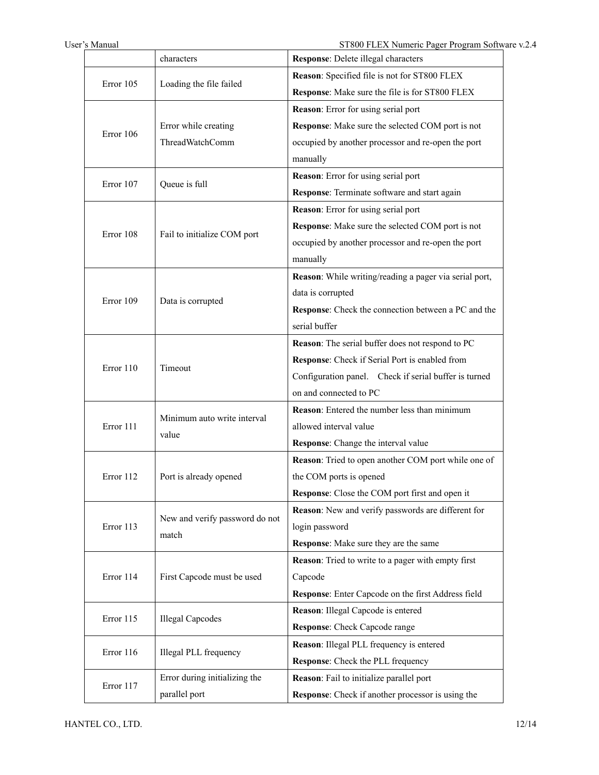|           | characters                                            | Response: Delete illegal characters                    |
|-----------|-------------------------------------------------------|--------------------------------------------------------|
| Error 105 |                                                       | Reason: Specified file is not for ST800 FLEX           |
|           | Loading the file failed                               | Response: Make sure the file is for ST800 FLEX         |
|           |                                                       | Reason: Error for using serial port                    |
| Error 106 | Error while creating                                  | Response: Make sure the selected COM port is not       |
|           | ThreadWatchComm                                       | occupied by another processor and re-open the port     |
|           |                                                       | manually                                               |
| Error 107 | Queue is full                                         | Reason: Error for using serial port                    |
|           |                                                       | Response: Terminate software and start again           |
|           |                                                       | Reason: Error for using serial port                    |
| Error 108 |                                                       | Response: Make sure the selected COM port is not       |
|           | Fail to initialize COM port                           | occupied by another processor and re-open the port     |
|           |                                                       | manually                                               |
|           |                                                       | Reason: While writing/reading a pager via serial port, |
| Error 109 | Data is corrupted                                     | data is corrupted                                      |
|           |                                                       | Response: Check the connection between a PC and the    |
|           |                                                       | serial buffer                                          |
|           | Timeout                                               | Reason: The serial buffer does not respond to PC       |
| Error 110 |                                                       | Response: Check if Serial Port is enabled from         |
|           |                                                       | Configuration panel. Check if serial buffer is turned  |
|           |                                                       | on and connected to PC                                 |
|           | Minimum auto write interval                           | Reason: Entered the number less than minimum           |
| Error 111 | value                                                 | allowed interval value                                 |
|           |                                                       | Response: Change the interval value                    |
|           | Port is already opened                                | Reason: Tried to open another COM port while one of    |
| Error 112 |                                                       | the COM ports is opened                                |
|           |                                                       | Response: Close the COM port first and open it         |
|           | New and verify password do not                        | Reason: New and verify passwords are different for     |
| Error 113 | match                                                 | login password                                         |
|           |                                                       | Response: Make sure they are the same                  |
|           | First Capcode must be used<br><b>Illegal Capcodes</b> | Reason: Tried to write to a pager with empty first     |
| Error 114 |                                                       | Capcode                                                |
|           |                                                       | Response: Enter Capcode on the first Address field     |
| Error 115 |                                                       | Reason: Illegal Capcode is entered                     |
|           |                                                       | Response: Check Capcode range                          |
| Error 116 | Illegal PLL frequency                                 | Reason: Illegal PLL frequency is entered               |
|           |                                                       | Response: Check the PLL frequency                      |
| Error 117 | Error during initializing the                         | Reason: Fail to initialize parallel port               |
|           | parallel port                                         | Response: Check if another processor is using the      |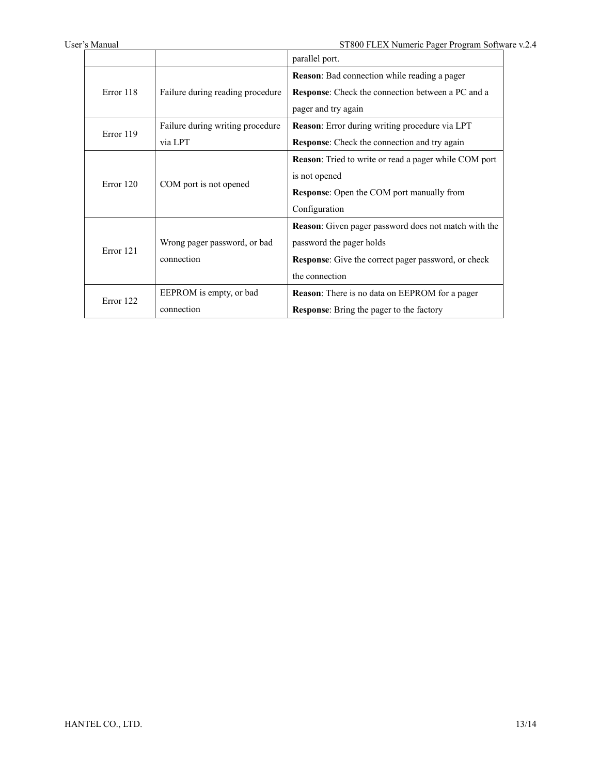|           |                                  | parallel port.                                               |
|-----------|----------------------------------|--------------------------------------------------------------|
|           |                                  | <b>Reason:</b> Bad connection while reading a pager          |
| Error 118 | Failure during reading procedure | <b>Response:</b> Check the connection between a PC and a     |
|           |                                  | pager and try again                                          |
| Error 119 | Failure during writing procedure | Reason: Error during writing procedure via LPT               |
|           | via LPT                          | <b>Response:</b> Check the connection and try again          |
|           |                                  | <b>Reason:</b> Tried to write or read a pager while COM port |
|           | COM port is not opened           | is not opened                                                |
| Error 120 |                                  | <b>Response:</b> Open the COM port manually from             |
|           |                                  | Configuration                                                |
|           |                                  | <b>Reason:</b> Given pager password does not match with the  |
|           | Wrong pager password, or bad     | password the pager holds                                     |
| Error 121 | connection                       | <b>Response:</b> Give the correct pager password, or check   |
|           |                                  | the connection                                               |
| Error 122 | EEPROM is empty, or bad          | <b>Reason:</b> There is no data on EEPROM for a pager        |
|           | connection                       | Response: Bring the pager to the factory                     |